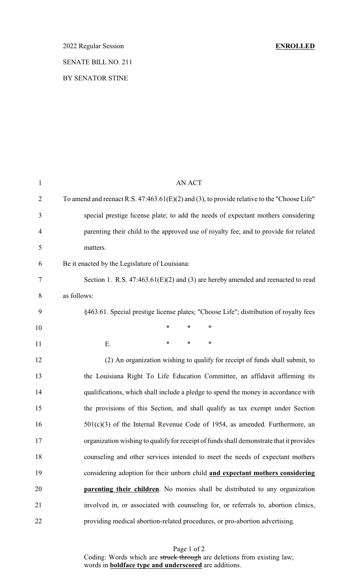# 2022 Regular Session **ENROLLED** SENATE BILL NO. 211

### BY SENATOR STINE

| $\mathbf{1}$   | <b>AN ACT</b>                                                                                 |
|----------------|-----------------------------------------------------------------------------------------------|
| $\overline{2}$ | To amend and reenact R.S. $47:463.61(E)(2)$ and (3), to provide relative to the "Choose Life" |
| 3              | special prestige license plate; to add the needs of expectant mothers considering             |
| $\overline{4}$ | parenting their child to the approved use of royalty fee; and to provide for related          |
| 5              | matters.                                                                                      |
| 6              | Be it enacted by the Legislature of Louisiana:                                                |
| 7              | Section 1. R.S. $47:463.61(E)(2)$ and (3) are hereby amended and reenacted to read            |
| 8              | as follows:                                                                                   |
| 9              | §463.61. Special prestige license plates; "Choose Life"; distribution of royalty fees         |
| 10             | $\ast$<br>$\ast$<br>$\ast$                                                                    |
| 11             | *<br>∗<br>∗<br>Ε.                                                                             |
| 12             | (2) An organization wishing to qualify for receipt of funds shall submit, to                  |
| 13             | the Louisiana Right To Life Education Committee, an affidavit affirming its                   |
| 14             | qualifications, which shall include a pledge to spend the money in accordance with            |
| 15             | the provisions of this Section, and shall qualify as tax exempt under Section                 |
| 16             | $501(c)(3)$ of the Internal Revenue Code of 1954, as amended. Furthermore, an                 |
| 17             | organization wishing to qualify for receipt of funds shall demonstrate that it provides       |
| 18             | counseling and other services intended to meet the needs of expectant mothers                 |
| 19             | considering adoption for their unborn child and expectant mothers considering                 |
| 20             | <b>parenting their children</b> . No monies shall be distributed to any organization          |
| 21             | involved in, or associated with counseling for, or referrals to, abortion clinics,            |
| 22             | providing medical abortion-related procedures, or pro-abortion advertising.                   |

Page 1 of 2 Coding: Words which are struck through are deletions from existing law; words in **boldface type and underscored** are additions.